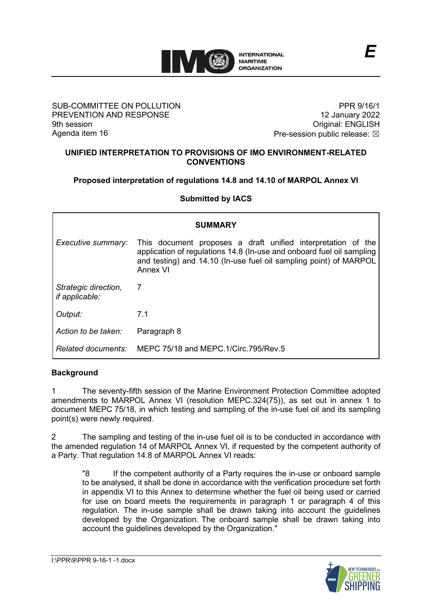

### SUB-COMMITTEE ON POLLUTION PREVENTION AND RESPONSE 9th session Agenda item 16

PPR 9/16/1 12 January 2022 Original: ENGLISH Pre-session public release:  $\boxtimes$ 

#### **UNIFIED INTERPRETATION TO PROVISIONS OF IMO ENVIRONMENT-RELATED CONVENTIONS**

# **Proposed interpretation of regulations 14.8 and 14.10 of MARPOL Annex VI**

**Submitted by IACS**

| <b>SUMMARY</b>                         |                                                                                                                                                                                                                        |
|----------------------------------------|------------------------------------------------------------------------------------------------------------------------------------------------------------------------------------------------------------------------|
| Executive summary:                     | This document proposes a draft unified interpretation of the<br>application of regulations 14.8 (In-use and onboard fuel oil sampling<br>and testing) and 14.10 (In-use fuel oil sampling point) of MARPOL<br>Annex VI |
| Strategic direction,<br>if applicable: | $\overline{7}$                                                                                                                                                                                                         |
| Output:                                | 7.1                                                                                                                                                                                                                    |
| Action to be taken:                    | Paragraph 8                                                                                                                                                                                                            |
| Related documents:                     | MEPC 75/18 and MEPC.1/Circ.795/Rev.5                                                                                                                                                                                   |

# **Background**

1 The seventy-fifth session of the Marine Environment Protection Committee adopted amendments to MARPOL Annex VI (resolution MEPC.324(75)), as set out in annex 1 to document MEPC 75/18, in which testing and sampling of the in-use fuel oil and its sampling point(s) were newly required.

2 The sampling and testing of the in-use fuel oil is to be conducted in accordance with the amended regulation 14 of MARPOL Annex VI, if requested by the competent authority of a Party. That regulation 14.8 of MARPOL Annex VI reads:

"8 If the competent authority of a Party requires the in-use or onboard sample to be analysed, it shall be done in accordance with the verification procedure set forth in appendix VI to this Annex to determine whether the fuel oil being used or carried for use on board meets the requirements in paragraph 1 or paragraph 4 of this regulation. The in-use sample shall be drawn taking into account the guidelines developed by the Organization. The onboard sample shall be drawn taking into account the guidelines developed by the Organization."

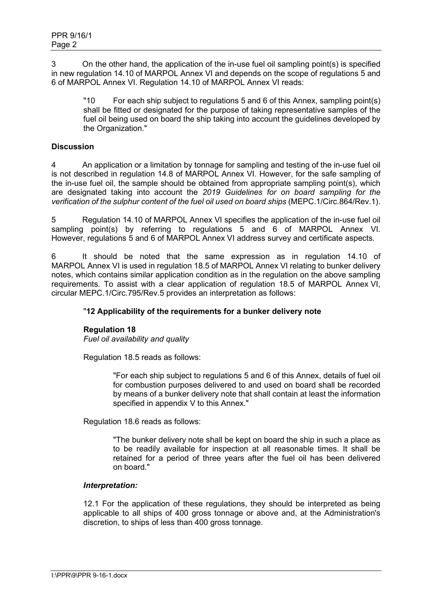3 On the other hand, the application of the in-use fuel oil sampling point(s) is specified in new regulation 14.10 of MARPOL Annex VI and depends on the scope of regulations 5 and 6 of MARPOL Annex VI. Regulation 14.10 of MARPOL Annex VI reads:

"10 For each ship subject to regulations 5 and 6 of this Annex, sampling point(s) shall be fitted or designated for the purpose of taking representative samples of the fuel oil being used on board the ship taking into account the guidelines developed by the Organization."

## **Discussion**

4 An application or a limitation by tonnage for sampling and testing of the in-use fuel oil is not described in regulation 14.8 of MARPOL Annex VI. However, for the safe sampling of the in-use fuel oil, the sample should be obtained from appropriate sampling point(s), which are designated taking into account the *2019 Guidelines for on board sampling for the verification of the sulphur content of the fuel oil used on board ships* (MEPC.1/Circ.864/Rev.1).

5 Regulation 14.10 of MARPOL Annex VI specifies the application of the in-use fuel oil sampling point(s) by referring to regulations 5 and 6 of MARPOL Annex VI. However, regulations 5 and 6 of MARPOL Annex VI address survey and certificate aspects.

6 It should be noted that the same expression as in regulation 14.10 of MARPOL Annex VI is used in regulation 18.5 of MARPOL Annex VI relating to bunker delivery notes, which contains similar application condition as in the regulation on the above sampling requirements. To assist with a clear application of regulation 18.5 of MARPOL Annex VI, circular MEPC.1/Circ.795/Rev.5 provides an interpretation as follows:

# "**12 Applicability of the requirements for a bunker delivery note**

#### **Regulation 18**

*Fuel oil availability and quality*

Regulation 18.5 reads as follows:

"For each ship subject to regulations 5 and 6 of this Annex, details of fuel oil for combustion purposes delivered to and used on board shall be recorded by means of a bunker delivery note that shall contain at least the information specified in appendix V to this Annex."

Regulation 18.6 reads as follows:

"The bunker delivery note shall be kept on board the ship in such a place as to be readily available for inspection at all reasonable times. It shall be retained for a period of three years after the fuel oil has been delivered on board."

#### *Interpretation:*

12.1 For the application of these regulations, they should be interpreted as being applicable to all ships of 400 gross tonnage or above and, at the Administration's discretion, to ships of less than 400 gross tonnage.